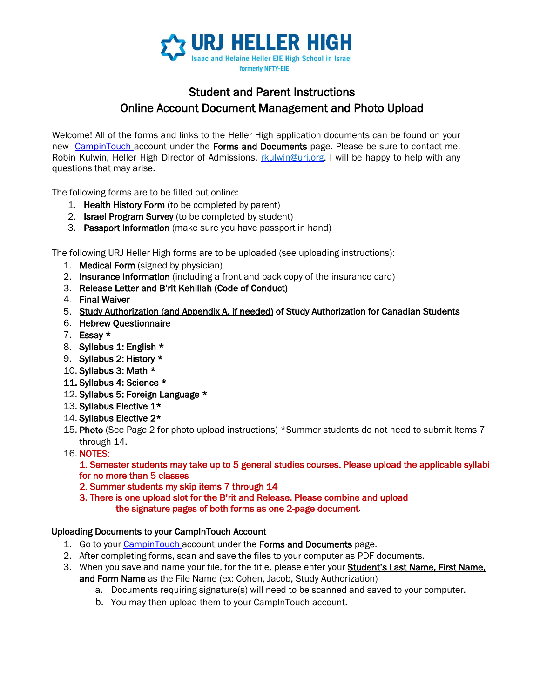

## Student and Parent Instructions Online Account Document Management and Photo Upload

Welcome! All of the forms and links to the Heller High application documents can be found on your new [CampinTouch ac](https://urjeie.campintouch.com/MyAccount.aspx)count under the Forms and Documents page. Please be sure to contact me, Robin Kulwin, Heller High Director of Admissions, [rkulwin@urj.org.](mailto:rkulwin@urj.org) I will be happy to help with any questions that may arise.

The following forms are to be filled out online:

- 1. Health History Form (to be completed by parent)
- 2. **Israel Program Survey** (to be completed by student)
- 3. Passport Information (make sure you have passport in hand)

The following URJ Heller High forms are to be uploaded (see uploading instructions):

- 1. Medical Form (signed by physician)
- 2. Insurance Information (including a front and back copy of the insurance card)
- 3. Release Letter and B'rit Kehillah (Code of Conduct)
- 4. Final Waiver
- 5. [Study Authorization \(and Appendix A, if needed\) o](http://nftyeie.org/wp-content/uploads/sites/38/2015/09/NFTY-EIE-Semester-Study-Authorization-Form-and-Appendix-A.pdf)f Study Authorization for Canadian Students
- 6. Hebrew Questionnaire
- 7. Essay \*
- 8. Syllabus 1: English \*
- 9. Syllabus 2: History \*
- 10. Syllabus 3: Math \*
- 11. Syllabus 4: Science \*
- 12. Syllabus 5: Foreign Language \*
- 13. Syllabus Elective 1\*
- 14. Syllabus Elective 2\*
- 15. Photo (See Page 2 for photo upload instructions) \*Summer students do not need to submit Items 7 through 14.
- 16. NOTES:

1. Semester students may take up to 5 general studies courses. Please upload the applicable syllabi for no more than 5 classes

2. Summer students my skip items 7 through 14

3. There is one upload slot for the B'rit and Release. Please combine and upload the signature pages of both forms as one 2-page document.

#### Uploading Documents to your CampInTouch Account

- 1. Go to you[r](https://urjeie.campintouch.com/MyAccount.aspx) [CampinTouch](https://urjeie.campintouch.com/MyAccount.aspx) [ac](https://urjeie.campintouch.com/MyAccount.aspx)count under the Forms and Documents page.
- 2. After completing forms, scan and save the files to your computer as PDF documents.
- 3. When you save and name your file, for the title, please enter your Student's Last Name, First Name, and Form Name as the File Name (ex: Cohen, Jacob, Study Authorization)
	- a. Documents requiring signature(s) will need to be scanned and saved to your computer.
	- b. You may then upload them to your CampInTouch account.